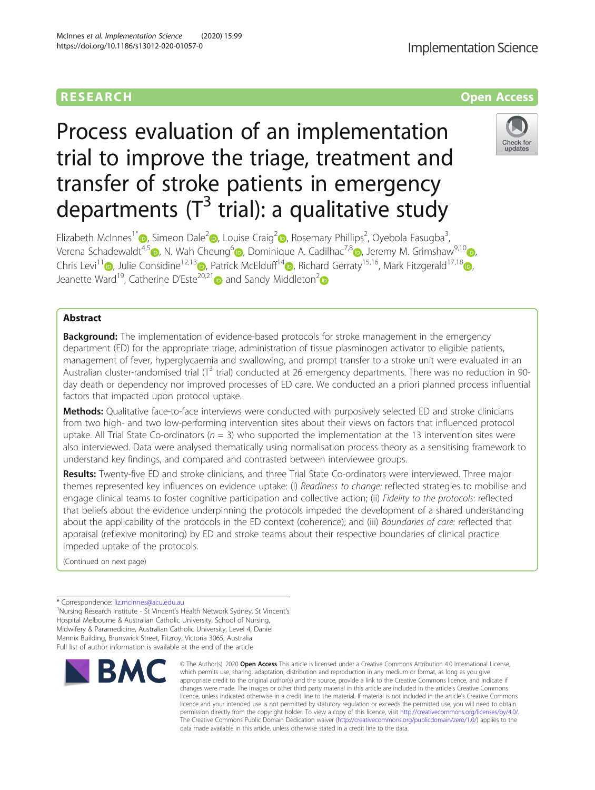# RESEARCH **RESEARCH CONSUMING THE CONSUMING THE CONSUMING THE CONSUMING TEAM Open Access**

# Process evaluation of an implementation trial to improve the triage, treatment and transfer of stroke patients in emergency departments  $(T^3 \text{ trial})$ : a qualitative study

Elizabeth McInnes<sup>1\*</sup> [,](https://orcid.org/0000-0002-0567-9679) Simeon Dale<sup>[2](https://orcid.org/0000-0003-0057-1949)</sup> , Louise Craig<sup>2</sup> , Rosemary Phillips<sup>2</sup>, Oyebola Fasugba<sup>3</sup> , Verena Schadewaldt<sup>4,5</sup> , N. Wah Cheung<sup>6</sup> , Dominique A. Cadilhac<sup>7,[8](https://orcid.org/0000-0001-8162-682X)</sup> [,](https://orcid.org/0000-0001-8015-8243) Jeremy M. Grimshaw<sup>9,10</sup> , D. Chris Levi<sup>[1](https://orcid.org/0000-0002-9474-796X)1</sup> , Julie Considine<sup>12,1[3](https://orcid.org/0000-0003-3801-2456)</sup> [,](https://orcid.org/0000-0003-0183-7761) Patrick McElduff<sup>14</sup> , Richard Gerraty<sup>15,16</sup>, Mark Fitzgerald<sup>17,18</sup> , Jeanette Ward<sup>[1](https://orcid.org/0000-0001-9125-0483)9</sup>, Catherine D'Este<sup>[2](https://orcid.org/0000-0002-7201-4394)0,21</sup> and Sandy Middleton<sup>2</sup>

## Abstract

**Background:** The implementation of evidence-based protocols for stroke management in the emergency department (ED) for the appropriate triage, administration of tissue plasminogen activator to eligible patients, management of fever, hyperglycaemia and swallowing, and prompt transfer to a stroke unit were evaluated in an Australian cluster-randomised trial  $(T^3$  trial) conducted at 26 emergency departments. There was no reduction in 90day death or dependency nor improved processes of ED care. We conducted an a priori planned process influential factors that impacted upon protocol uptake.

Methods: Qualitative face-to-face interviews were conducted with purposively selected ED and stroke clinicians from two high- and two low-performing intervention sites about their views on factors that influenced protocol uptake. All Trial State Co-ordinators ( $n = 3$ ) who supported the implementation at the 13 intervention sites were also interviewed. Data were analysed thematically using normalisation process theory as a sensitising framework to understand key findings, and compared and contrasted between interviewee groups.

Results: Twenty-five ED and stroke clinicians, and three Trial State Co-ordinators were interviewed. Three major themes represented key influences on evidence uptake: (i) Readiness to change: reflected strategies to mobilise and engage clinical teams to foster cognitive participation and collective action; (ii) Fidelity to the protocols: reflected that beliefs about the evidence underpinning the protocols impeded the development of a shared understanding about the applicability of the protocols in the ED context (coherence); and (iii) Boundaries of care: reflected that appraisal (reflexive monitoring) by ED and stroke teams about their respective boundaries of clinical practice impeded uptake of the protocols.

(Continued on next page)

<sup>&</sup>lt;sup>1</sup>Nursing Research Institute - St Vincent's Health Network Sydney, St Vincent's Hospital Melbourne & Australian Catholic University, School of Nursing, Midwifery & Paramedicine, Australian Catholic University, Level 4, Daniel Mannix Building, Brunswick Street, Fitzroy, Victoria 3065, Australia Full list of author information is available at the end of the article



<sup>©</sup> The Author(s), 2020 **Open Access** This article is licensed under a Creative Commons Attribution 4.0 International License, which permits use, sharing, adaptation, distribution and reproduction in any medium or format, as long as you give appropriate credit to the original author(s) and the source, provide a link to the Creative Commons licence, and indicate if changes were made. The images or other third party material in this article are included in the article's Creative Commons licence, unless indicated otherwise in a credit line to the material. If material is not included in the article's Creative Commons licence and your intended use is not permitted by statutory regulation or exceeds the permitted use, you will need to obtain permission directly from the copyright holder. To view a copy of this licence, visit [http://creativecommons.org/licenses/by/4.0/.](http://creativecommons.org/licenses/by/4.0/) The Creative Commons Public Domain Dedication waiver [\(http://creativecommons.org/publicdomain/zero/1.0/](http://creativecommons.org/publicdomain/zero/1.0/)) applies to the data made available in this article, unless otherwise stated in a credit line to the data.



<sup>\*</sup> Correspondence: [liz.mcinnes@acu.edu.au](mailto:liz.mcinnes@acu.edu.au) <sup>1</sup>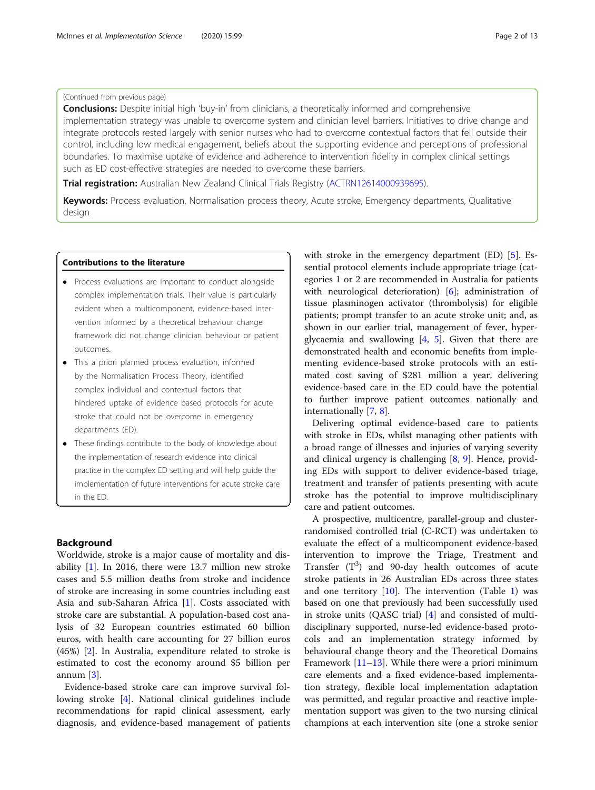#### (Continued from previous page)

**Conclusions:** Despite initial high 'buy-in' from clinicians, a theoretically informed and comprehensive implementation strategy was unable to overcome system and clinician level barriers. Initiatives to drive change and integrate protocols rested largely with senior nurses who had to overcome contextual factors that fell outside their control, including low medical engagement, beliefs about the supporting evidence and perceptions of professional boundaries. To maximise uptake of evidence and adherence to intervention fidelity in complex clinical settings such as ED cost-effective strategies are needed to overcome these barriers.

Trial registration: Australian New Zealand Clinical Trials Registry ([ACTRN12614000939695](https://www.anzctr.org.au/Trial/Registration/TrialReview.aspx?ACTRN=12614000939695)).

Keywords: Process evaluation, Normalisation process theory, Acute stroke, Emergency departments, Qualitative design

#### Contributions to the literature

- Process evaluations are important to conduct alongside complex implementation trials. Their value is particularly evident when a multicomponent, evidence-based intervention informed by a theoretical behaviour change framework did not change clinician behaviour or patient outcomes.
- This a priori planned process evaluation, informed by the Normalisation Process Theory, identified complex individual and contextual factors that hindered uptake of evidence based protocols for acute stroke that could not be overcome in emergency departments (ED).
- These findings contribute to the body of knowledge about the implementation of research evidence into clinical practice in the complex ED setting and will help guide the implementation of future interventions for acute stroke care in the ED.

#### Background

Worldwide, stroke is a major cause of mortality and disability [[1\]](#page-11-0). In 2016, there were 13.7 million new stroke cases and 5.5 million deaths from stroke and incidence of stroke are increasing in some countries including east Asia and sub-Saharan Africa [\[1](#page-11-0)]. Costs associated with stroke care are substantial. A population-based cost analysis of 32 European countries estimated 60 billion euros, with health care accounting for 27 billion euros (45%) [\[2](#page-11-0)]. In Australia, expenditure related to stroke is estimated to cost the economy around \$5 billion per annum  $[3]$  $[3]$  $[3]$ .

Evidence-based stroke care can improve survival following stroke [\[4](#page-11-0)]. National clinical guidelines include recommendations for rapid clinical assessment, early diagnosis, and evidence-based management of patients with stroke in the emergency department (ED) [\[5](#page-11-0)]. Essential protocol elements include appropriate triage (categories 1 or 2 are recommended in Australia for patients with neurological deterioration) [\[6](#page-11-0)]; administration of tissue plasminogen activator (thrombolysis) for eligible patients; prompt transfer to an acute stroke unit; and, as shown in our earlier trial, management of fever, hyperglycaemia and swallowing  $[4, 5]$  $[4, 5]$  $[4, 5]$  $[4, 5]$ . Given that there are demonstrated health and economic benefits from implementing evidence-based stroke protocols with an estimated cost saving of \$281 million a year, delivering evidence-based care in the ED could have the potential to further improve patient outcomes nationally and internationally [\[7,](#page-11-0) [8\]](#page-11-0).

Delivering optimal evidence-based care to patients with stroke in EDs, whilst managing other patients with a broad range of illnesses and injuries of varying severity and clinical urgency is challenging [\[8](#page-11-0), [9\]](#page-11-0). Hence, providing EDs with support to deliver evidence-based triage, treatment and transfer of patients presenting with acute stroke has the potential to improve multidisciplinary care and patient outcomes.

A prospective, multicentre, parallel-group and clusterrandomised controlled trial (C-RCT) was undertaken to evaluate the effect of a multicomponent evidence-based intervention to improve the Triage, Treatment and Transfer  $(T^3)$  and 90-day health outcomes of acute stroke patients in 26 Australian EDs across three states and one territory  $[10]$  $[10]$ . The intervention (Table [1\)](#page-2-0) was based on one that previously had been successfully used in stroke units (QASC trial) [\[4](#page-11-0)] and consisted of multidisciplinary supported, nurse-led evidence-based protocols and an implementation strategy informed by behavioural change theory and the Theoretical Domains Framework  $[11-13]$  $[11-13]$  $[11-13]$ . While there were a priori minimum care elements and a fixed evidence-based implementation strategy, flexible local implementation adaptation was permitted, and regular proactive and reactive implementation support was given to the two nursing clinical champions at each intervention site (one a stroke senior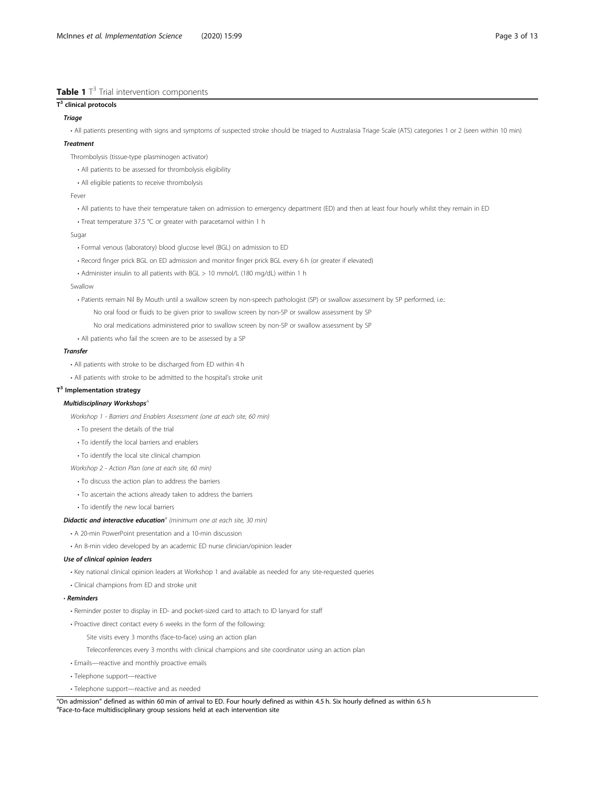#### <span id="page-2-0"></span>**Table 1**  $T^3$  Trial intervention components

### $\overline{T^3}$  clinical protocols

#### **Trigge**

• All patients presenting with signs and symptoms of suspected stroke should be triaged to Australasia Triage Scale (ATS) categories 1 or 2 (seen within 10 min)

#### Treatment

Thrombolysis (tissue-type plasminogen activator)

- All patients to be assessed for thrombolysis eligibility
- All eligible patients to receive thrombolysis

#### Fever

- All patients to have their temperature taken on admission to emergency department (ED) and then at least four hourly whilst they remain in ED
- Treat temperature 37.5 °C or greater with paracetamol within 1 h

#### Sugar

- Formal venous (laboratory) blood glucose level (BGL) on admission to ED
- Record finger prick BGL on ED admission and monitor finger prick BGL every 6 h (or greater if elevated)
- Administer insulin to all patients with BGL > 10 mmol/L (180 mg/dL) within 1 h

#### Swallow

- Patients remain Nil By Mouth until a swallow screen by non-speech pathologist (SP) or swallow assessment by SP performed, i.e.:
	- No oral food or fluids to be given prior to swallow screen by non-SP or swallow assessment by SP
	- No oral medications administered prior to swallow screen by non-SP or swallow assessment by SP
- All patients who fail the screen are to be assessed by a SP

#### **Transfer**

- All patients with stroke to be discharged from ED within 4 h
- All patients with stroke to be admitted to the hospital's stroke unit

#### $T<sup>3</sup>$  Implementation strategy

#### Multidisciplinary Workshops $\epsilon$

Workshop 1 - Barriers and Enablers Assessment (one at each site, 60 min)

- To present the details of the trial
- To identify the local barriers and enablers
- To identify the local site clinical champion
- Workshop 2 Action Plan (one at each site, 60 min)
	- To discuss the action plan to address the barriers
	- To ascertain the actions already taken to address the barriers
- To identify the new local barriers

#### Didactic and interactive education<sup>a</sup> (minimum one at each site, 30 min)

- A 20-min PowerPoint presentation and a 10-min discussion
- An 8-min video developed by an academic ED nurse clinician/opinion leader

#### Use of clinical opinion leaders

• Key national clinical opinion leaders at Workshop 1 and available as needed for any site-requested queries

• Clinical champions from ED and stroke unit

• Reminders

- Reminder poster to display in ED- and pocket-sized card to attach to ID lanyard for staff
- Proactive direct contact every 6 weeks in the form of the following:
	- Site visits every 3 months (face-to-face) using an action plan
	- Teleconferences every 3 months with clinical champions and site coordinator using an action plan
- Emails—reactive and monthly proactive emails
- Telephone support—reactive
- Telephone support—reactive and as needed

"On admission" defined as within 60 min of arrival to ED. Four hourly defined as within 4.5 h. Six hourly defined as within 6.5 h <sup>a</sup> <sup>a</sup>Face-to-face multidisciplinary group sessions held at each intervention site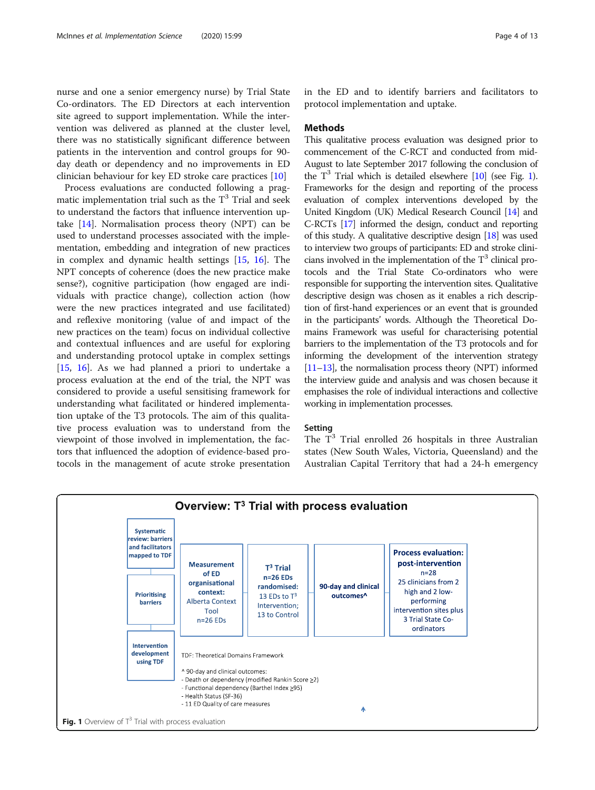nurse and one a senior emergency nurse) by Trial State Co-ordinators. The ED Directors at each intervention site agreed to support implementation. While the intervention was delivered as planned at the cluster level, there was no statistically significant difference between patients in the intervention and control groups for 90 day death or dependency and no improvements in ED clinician behaviour for key ED stroke care practices [[10\]](#page-11-0)

Process evaluations are conducted following a pragmatic implementation trial such as the  $T<sup>3</sup>$  Trial and seek to understand the factors that influence intervention uptake [[14](#page-12-0)]. Normalisation process theory (NPT) can be used to understand processes associated with the implementation, embedding and integration of new practices in complex and dynamic health settings [\[15](#page-12-0), [16](#page-12-0)]. The NPT concepts of coherence (does the new practice make sense?), cognitive participation (how engaged are individuals with practice change), collection action (how were the new practices integrated and use facilitated) and reflexive monitoring (value of and impact of the new practices on the team) focus on individual collective and contextual influences and are useful for exploring and understanding protocol uptake in complex settings [[15,](#page-12-0) [16\]](#page-12-0). As we had planned a priori to undertake a process evaluation at the end of the trial, the NPT was considered to provide a useful sensitising framework for understanding what facilitated or hindered implementation uptake of the T3 protocols. The aim of this qualitative process evaluation was to understand from the viewpoint of those involved in implementation, the factors that influenced the adoption of evidence-based protocols in the management of acute stroke presentation in the ED and to identify barriers and facilitators to protocol implementation and uptake.

#### Methods

This qualitative process evaluation was designed prior to commencement of the C-RCT and conducted from mid-August to late September 2017 following the conclusion of the  $T^3$  Trial which is detailed elsewhere [\[10\]](#page-11-0) (see Fig. 1). Frameworks for the design and reporting of the process evaluation of complex interventions developed by the United Kingdom (UK) Medical Research Council [\[14](#page-12-0)] and C-RCTs [\[17](#page-12-0)] informed the design, conduct and reporting of this study. A qualitative descriptive design [\[18\]](#page-12-0) was used to interview two groups of participants: ED and stroke clinicians involved in the implementation of the  $T<sup>3</sup>$  clinical protocols and the Trial State Co-ordinators who were responsible for supporting the intervention sites. Qualitative descriptive design was chosen as it enables a rich description of first-hand experiences or an event that is grounded in the participants' words. Although the Theoretical Domains Framework was useful for characterising potential barriers to the implementation of the T3 protocols and for informing the development of the intervention strategy [[11](#page-11-0)–[13](#page-11-0)], the normalisation process theory (NPT) informed the interview guide and analysis and was chosen because it emphasises the role of individual interactions and collective working in implementation processes.

#### Setting

The  $T<sup>3</sup>$  Trial enrolled 26 hospitals in three Australian states (New South Wales, Victoria, Queensland) and the Australian Capital Territory that had a 24-h emergency

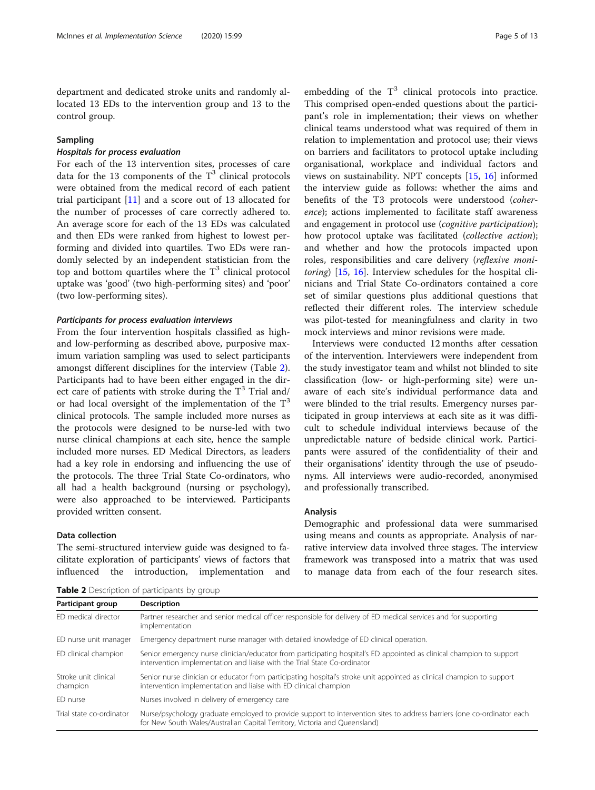department and dedicated stroke units and randomly allocated 13 EDs to the intervention group and 13 to the control group.

#### Sampling

#### Hospitals for process evaluation

For each of the 13 intervention sites, processes of care data for the 13 components of the  $T<sup>3</sup>$  clinical protocols were obtained from the medical record of each patient trial participant [[11\]](#page-11-0) and a score out of 13 allocated for the number of processes of care correctly adhered to. An average score for each of the 13 EDs was calculated and then EDs were ranked from highest to lowest performing and divided into quartiles. Two EDs were randomly selected by an independent statistician from the top and bottom quartiles where the  $T<sup>3</sup>$  clinical protocol uptake was 'good' (two high-performing sites) and 'poor' (two low-performing sites).

#### Participants for process evaluation interviews

From the four intervention hospitals classified as highand low-performing as described above, purposive maximum variation sampling was used to select participants amongst different disciplines for the interview (Table 2). Participants had to have been either engaged in the direct care of patients with stroke during the  $T^3$  Trial and/ or had local oversight of the implementation of the  $T<sup>3</sup>$ clinical protocols. The sample included more nurses as the protocols were designed to be nurse-led with two nurse clinical champions at each site, hence the sample included more nurses. ED Medical Directors, as leaders had a key role in endorsing and influencing the use of the protocols. The three Trial State Co-ordinators, who all had a health background (nursing or psychology), were also approached to be interviewed. Participants provided written consent.

#### Data collection

The semi-structured interview guide was designed to facilitate exploration of participants' views of factors that influenced the introduction, implementation and

embedding of the  $T<sup>3</sup>$  clinical protocols into practice. This comprised open-ended questions about the participant's role in implementation; their views on whether clinical teams understood what was required of them in relation to implementation and protocol use; their views on barriers and facilitators to protocol uptake including organisational, workplace and individual factors and views on sustainability. NPT concepts [\[15,](#page-12-0) [16](#page-12-0)] informed the interview guide as follows: whether the aims and benefits of the T3 protocols were understood (coherence); actions implemented to facilitate staff awareness and engagement in protocol use (cognitive participation); how protocol uptake was facilitated (collective action); and whether and how the protocols impacted upon roles, responsibilities and care delivery (reflexive monitoring) [\[15](#page-12-0), [16\]](#page-12-0). Interview schedules for the hospital clinicians and Trial State Co-ordinators contained a core set of similar questions plus additional questions that reflected their different roles. The interview schedule was pilot-tested for meaningfulness and clarity in two mock interviews and minor revisions were made.

Interviews were conducted 12 months after cessation of the intervention. Interviewers were independent from the study investigator team and whilst not blinded to site classification (low- or high-performing site) were unaware of each site's individual performance data and were blinded to the trial results. Emergency nurses participated in group interviews at each site as it was difficult to schedule individual interviews because of the unpredictable nature of bedside clinical work. Participants were assured of the confidentiality of their and their organisations' identity through the use of pseudonyms. All interviews were audio-recorded, anonymised and professionally transcribed.

#### Analysis

Demographic and professional data were summarised using means and counts as appropriate. Analysis of narrative interview data involved three stages. The interview framework was transposed into a matrix that was used to manage data from each of the four research sites.

Table 2 Description of participants by group

| Participant group                | <b>Description</b>                                                                                                                                                                                   |
|----------------------------------|------------------------------------------------------------------------------------------------------------------------------------------------------------------------------------------------------|
| ED medical director              | Partner researcher and senior medical officer responsible for delivery of ED medical services and for supporting<br>implementation                                                                   |
| ED nurse unit manager            | Emergency department nurse manager with detailed knowledge of ED clinical operation.                                                                                                                 |
| ED clinical champion             | Senior emergency nurse clinician/educator from participating hospital's ED appointed as clinical champion to support<br>intervention implementation and liaise with the Trial State Co-ordinator     |
| Stroke unit clinical<br>champion | Senior nurse clinician or educator from participating hospital's stroke unit appointed as clinical champion to support<br>intervention implementation and liaise with ED clinical champion           |
| ED nurse                         | Nurses involved in delivery of emergency care                                                                                                                                                        |
| Trial state co-ordinator         | Nurse/psychology graduate employed to provide support to intervention sites to address barriers (one co-ordinator each<br>for New South Wales/Australian Capital Territory, Victoria and Queensland) |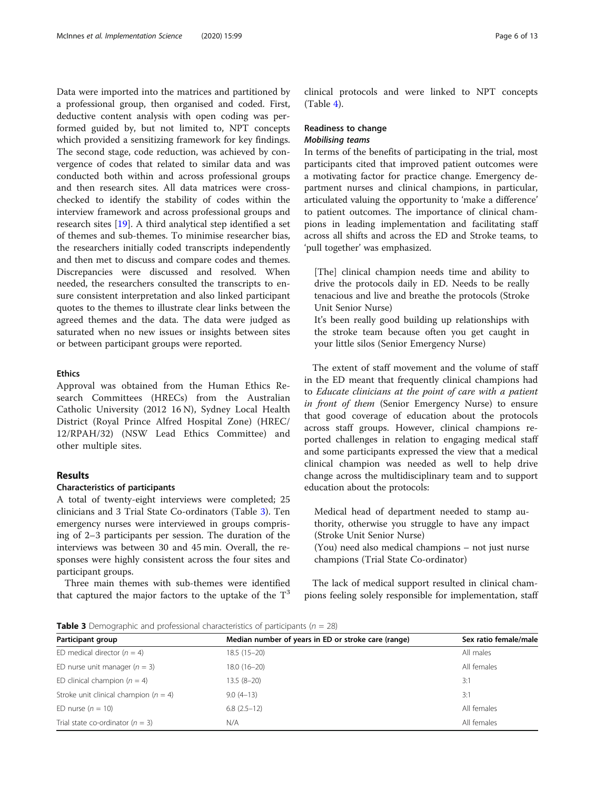Data were imported into the matrices and partitioned by a professional group, then organised and coded. First, deductive content analysis with open coding was performed guided by, but not limited to, NPT concepts which provided a sensitizing framework for key findings. The second stage, code reduction, was achieved by convergence of codes that related to similar data and was conducted both within and across professional groups and then research sites. All data matrices were crosschecked to identify the stability of codes within the interview framework and across professional groups and research sites [[19\]](#page-12-0). A third analytical step identified a set of themes and sub-themes. To minimise researcher bias, the researchers initially coded transcripts independently and then met to discuss and compare codes and themes. Discrepancies were discussed and resolved. When needed, the researchers consulted the transcripts to ensure consistent interpretation and also linked participant quotes to the themes to illustrate clear links between the agreed themes and the data. The data were judged as saturated when no new issues or insights between sites or between participant groups were reported.

#### Ethics

Approval was obtained from the Human Ethics Research Committees (HRECs) from the Australian Catholic University (2012 16 N), Sydney Local Health District (Royal Prince Alfred Hospital Zone) (HREC/ 12/RPAH/32) (NSW Lead Ethics Committee) and other multiple sites.

#### Results

#### Characteristics of participants

A total of twenty-eight interviews were completed; 25 clinicians and 3 Trial State Co-ordinators (Table 3). Ten emergency nurses were interviewed in groups comprising of 2–3 participants per session. The duration of the interviews was between 30 and 45 min. Overall, the responses were highly consistent across the four sites and participant groups.

Three main themes with sub-themes were identified that captured the major factors to the uptake of the  $T<sup>3</sup>$  clinical protocols and were linked to NPT concepts (Table [4\)](#page-6-0).

#### Readiness to change Mobilising teams

In terms of the benefits of participating in the trial, most participants cited that improved patient outcomes were a motivating factor for practice change. Emergency department nurses and clinical champions, in particular, articulated valuing the opportunity to 'make a difference' to patient outcomes. The importance of clinical champions in leading implementation and facilitating staff across all shifts and across the ED and Stroke teams, to 'pull together' was emphasized.

[The] clinical champion needs time and ability to drive the protocols daily in ED. Needs to be really tenacious and live and breathe the protocols (Stroke Unit Senior Nurse)

It's been really good building up relationships with the stroke team because often you get caught in your little silos (Senior Emergency Nurse)

The extent of staff movement and the volume of staff in the ED meant that frequently clinical champions had to Educate clinicians at the point of care with a patient in front of them (Senior Emergency Nurse) to ensure that good coverage of education about the protocols across staff groups. However, clinical champions reported challenges in relation to engaging medical staff and some participants expressed the view that a medical clinical champion was needed as well to help drive change across the multidisciplinary team and to support education about the protocols:

Medical head of department needed to stamp authority, otherwise you struggle to have any impact (Stroke Unit Senior Nurse)

(You) need also medical champions – not just nurse champions (Trial State Co-ordinator)

The lack of medical support resulted in clinical champions feeling solely responsible for implementation, staff

**Table 3** Demographic and professional characteristics of participants ( $n = 28$ )

| Participant group                         | Median number of years in ED or stroke care (range) | Sex ratio female/male |  |
|-------------------------------------------|-----------------------------------------------------|-----------------------|--|
| ED medical director $(n = 4)$             | 18.5 (15-20)                                        | All males             |  |
| ED nurse unit manager $(n = 3)$           | $18.0(16-20)$                                       | All females           |  |
| ED clinical champion $(n = 4)$            | $13.5(8-20)$                                        | 3:1                   |  |
| Stroke unit clinical champion ( $n = 4$ ) | $9.0(4-13)$                                         | 3:1                   |  |
| ED nurse $(n = 10)$                       | $6.8(2.5-12)$                                       | All females           |  |
| Trial state co-ordinator ( $n = 3$ )      | N/A                                                 | All females           |  |
|                                           |                                                     |                       |  |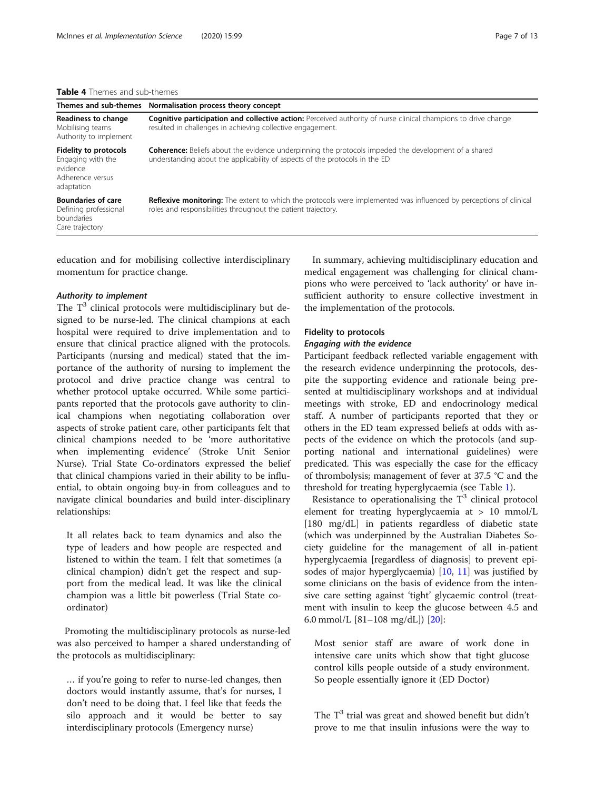#### <span id="page-6-0"></span>Table 4 Themes and sub-themes

| Themes and sub-themes                                                                           | Normalisation process theory concept                                                                                                                                                       |
|-------------------------------------------------------------------------------------------------|--------------------------------------------------------------------------------------------------------------------------------------------------------------------------------------------|
| Readiness to change<br>Mobilising teams<br>Authority to implement                               | <b>Cognitive participation and collective action:</b> Perceived authority of nurse clinical champions to drive change<br>resulted in challenges in achieving collective engagement.        |
| <b>Fidelity to protocols</b><br>Engaging with the<br>evidence<br>Adherence versus<br>adaptation | <b>Coherence:</b> Beliefs about the evidence underpinning the protocols impeded the development of a shared<br>understanding about the applicability of aspects of the protocols in the ED |
| <b>Boundaries of care</b><br>Defining professional<br><b>boundaries</b><br>Care trajectory      | Reflexive monitoring: The extent to which the protocols were implemented was influenced by perceptions of clinical<br>roles and responsibilities throughout the patient trajectory.        |

education and for mobilising collective interdisciplinary momentum for practice change.

#### Authority to implement

The  $T<sup>3</sup>$  clinical protocols were multidisciplinary but designed to be nurse-led. The clinical champions at each hospital were required to drive implementation and to ensure that clinical practice aligned with the protocols. Participants (nursing and medical) stated that the importance of the authority of nursing to implement the protocol and drive practice change was central to whether protocol uptake occurred. While some participants reported that the protocols gave authority to clinical champions when negotiating collaboration over aspects of stroke patient care, other participants felt that clinical champions needed to be 'more authoritative when implementing evidence' (Stroke Unit Senior Nurse). Trial State Co-ordinators expressed the belief that clinical champions varied in their ability to be influential, to obtain ongoing buy-in from colleagues and to navigate clinical boundaries and build inter-disciplinary relationships:

It all relates back to team dynamics and also the type of leaders and how people are respected and listened to within the team. I felt that sometimes (a clinical champion) didn't get the respect and support from the medical lead. It was like the clinical champion was a little bit powerless (Trial State coordinator)

Promoting the multidisciplinary protocols as nurse-led was also perceived to hamper a shared understanding of the protocols as multidisciplinary:

… if you're going to refer to nurse-led changes, then doctors would instantly assume, that's for nurses, I don't need to be doing that. I feel like that feeds the silo approach and it would be better to say interdisciplinary protocols (Emergency nurse)

In summary, achieving multidisciplinary education and medical engagement was challenging for clinical champions who were perceived to 'lack authority' or have insufficient authority to ensure collective investment in the implementation of the protocols.

#### Fidelity to protocols

#### Engaging with the evidence

Participant feedback reflected variable engagement with the research evidence underpinning the protocols, despite the supporting evidence and rationale being presented at multidisciplinary workshops and at individual meetings with stroke, ED and endocrinology medical staff. A number of participants reported that they or others in the ED team expressed beliefs at odds with aspects of the evidence on which the protocols (and supporting national and international guidelines) were predicated. This was especially the case for the efficacy of thrombolysis; management of fever at 37.5 °C and the threshold for treating hyperglycaemia (see Table [1\)](#page-2-0).

Resistance to operationalising the  $T<sup>3</sup>$  clinical protocol element for treating hyperglycaemia at > 10 mmol/L [180 mg/dL] in patients regardless of diabetic state (which was underpinned by the Australian Diabetes Society guideline for the management of all in-patient hyperglycaemia [regardless of diagnosis] to prevent episodes of major hyperglycaemia) [\[10](#page-11-0), [11\]](#page-11-0) was justified by some clinicians on the basis of evidence from the intensive care setting against 'tight' glycaemic control (treatment with insulin to keep the glucose between 4.5 and 6.0 mmol/L [81–108 mg/dL]) [[20\]](#page-12-0):

Most senior staff are aware of work done in intensive care units which show that tight glucose control kills people outside of a study environment. So people essentially ignore it (ED Doctor)

The  $T<sup>3</sup>$  trial was great and showed benefit but didn't prove to me that insulin infusions were the way to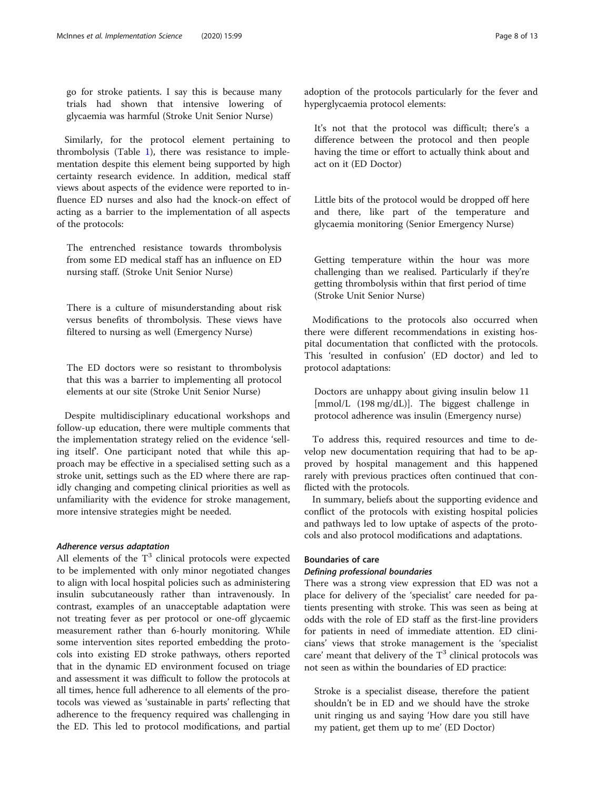go for stroke patients. I say this is because many trials had shown that intensive lowering of glycaemia was harmful (Stroke Unit Senior Nurse)

Similarly, for the protocol element pertaining to thrombolysis (Table [1](#page-2-0)), there was resistance to implementation despite this element being supported by high certainty research evidence. In addition, medical staff views about aspects of the evidence were reported to influence ED nurses and also had the knock-on effect of acting as a barrier to the implementation of all aspects of the protocols:

The entrenched resistance towards thrombolysis from some ED medical staff has an influence on ED nursing staff. (Stroke Unit Senior Nurse)

There is a culture of misunderstanding about risk versus benefits of thrombolysis. These views have filtered to nursing as well (Emergency Nurse)

The ED doctors were so resistant to thrombolysis that this was a barrier to implementing all protocol elements at our site (Stroke Unit Senior Nurse)

Despite multidisciplinary educational workshops and follow-up education, there were multiple comments that the implementation strategy relied on the evidence 'selling itself'. One participant noted that while this approach may be effective in a specialised setting such as a stroke unit, settings such as the ED where there are rapidly changing and competing clinical priorities as well as unfamiliarity with the evidence for stroke management, more intensive strategies might be needed.

#### Adherence versus adaptation

All elements of the  $T^3$  clinical protocols were expected to be implemented with only minor negotiated changes to align with local hospital policies such as administering insulin subcutaneously rather than intravenously. In contrast, examples of an unacceptable adaptation were not treating fever as per protocol or one-off glycaemic measurement rather than 6-hourly monitoring. While some intervention sites reported embedding the protocols into existing ED stroke pathways, others reported that in the dynamic ED environment focused on triage and assessment it was difficult to follow the protocols at all times, hence full adherence to all elements of the protocols was viewed as 'sustainable in parts' reflecting that adherence to the frequency required was challenging in the ED. This led to protocol modifications, and partial It's not that the protocol was difficult; there's a difference between the protocol and then people having the time or effort to actually think about and act on it (ED Doctor)

Little bits of the protocol would be dropped off here and there, like part of the temperature and glycaemia monitoring (Senior Emergency Nurse)

Getting temperature within the hour was more challenging than we realised. Particularly if they're getting thrombolysis within that first period of time (Stroke Unit Senior Nurse)

Modifications to the protocols also occurred when there were different recommendations in existing hospital documentation that conflicted with the protocols. This 'resulted in confusion' (ED doctor) and led to protocol adaptations:

Doctors are unhappy about giving insulin below 11 [mmol/L (198 mg/dL)]. The biggest challenge in protocol adherence was insulin (Emergency nurse)

To address this, required resources and time to develop new documentation requiring that had to be approved by hospital management and this happened rarely with previous practices often continued that conflicted with the protocols.

In summary, beliefs about the supporting evidence and conflict of the protocols with existing hospital policies and pathways led to low uptake of aspects of the protocols and also protocol modifications and adaptations.

#### Boundaries of care

#### Defining professional boundaries

There was a strong view expression that ED was not a place for delivery of the 'specialist' care needed for patients presenting with stroke. This was seen as being at odds with the role of ED staff as the first-line providers for patients in need of immediate attention. ED clinicians' views that stroke management is the 'specialist care' meant that delivery of the  $T^3$  clinical protocols was not seen as within the boundaries of ED practice:

Stroke is a specialist disease, therefore the patient shouldn't be in ED and we should have the stroke unit ringing us and saying 'How dare you still have my patient, get them up to me' (ED Doctor)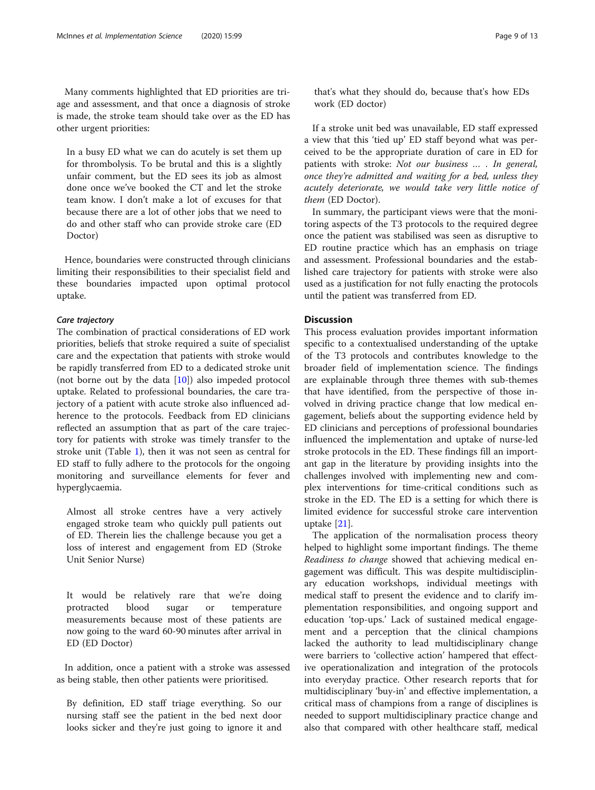Many comments highlighted that ED priorities are triage and assessment, and that once a diagnosis of stroke is made, the stroke team should take over as the ED has other urgent priorities:

In a busy ED what we can do acutely is set them up for thrombolysis. To be brutal and this is a slightly unfair comment, but the ED sees its job as almost done once we've booked the CT and let the stroke team know. I don't make a lot of excuses for that because there are a lot of other jobs that we need to do and other staff who can provide stroke care (ED Doctor)

Hence, boundaries were constructed through clinicians limiting their responsibilities to their specialist field and these boundaries impacted upon optimal protocol uptake.

#### Care trajectory

The combination of practical considerations of ED work priorities, beliefs that stroke required a suite of specialist care and the expectation that patients with stroke would be rapidly transferred from ED to a dedicated stroke unit (not borne out by the data [\[10](#page-11-0)]) also impeded protocol uptake. Related to professional boundaries, the care trajectory of a patient with acute stroke also influenced adherence to the protocols. Feedback from ED clinicians reflected an assumption that as part of the care trajectory for patients with stroke was timely transfer to the stroke unit (Table [1](#page-2-0)), then it was not seen as central for ED staff to fully adhere to the protocols for the ongoing monitoring and surveillance elements for fever and hyperglycaemia.

Almost all stroke centres have a very actively engaged stroke team who quickly pull patients out of ED. Therein lies the challenge because you get a loss of interest and engagement from ED (Stroke Unit Senior Nurse)

It would be relatively rare that we're doing protracted blood sugar or temperature measurements because most of these patients are now going to the ward 60-90 minutes after arrival in ED (ED Doctor)

In addition, once a patient with a stroke was assessed as being stable, then other patients were prioritised.

By definition, ED staff triage everything. So our nursing staff see the patient in the bed next door looks sicker and they're just going to ignore it and that's what they should do, because that's how EDs work (ED doctor)

If a stroke unit bed was unavailable, ED staff expressed a view that this 'tied up' ED staff beyond what was perceived to be the appropriate duration of care in ED for patients with stroke: Not our business … . In general, once they're admitted and waiting for a bed, unless they acutely deteriorate, we would take very little notice of them (ED Doctor).

In summary, the participant views were that the monitoring aspects of the T3 protocols to the required degree once the patient was stabilised was seen as disruptive to ED routine practice which has an emphasis on triage and assessment. Professional boundaries and the established care trajectory for patients with stroke were also used as a justification for not fully enacting the protocols until the patient was transferred from ED.

#### Discussion

This process evaluation provides important information specific to a contextualised understanding of the uptake of the T3 protocols and contributes knowledge to the broader field of implementation science. The findings are explainable through three themes with sub-themes that have identified, from the perspective of those involved in driving practice change that low medical engagement, beliefs about the supporting evidence held by ED clinicians and perceptions of professional boundaries influenced the implementation and uptake of nurse-led stroke protocols in the ED. These findings fill an important gap in the literature by providing insights into the challenges involved with implementing new and complex interventions for time-critical conditions such as stroke in the ED. The ED is a setting for which there is limited evidence for successful stroke care intervention uptake [\[21](#page-12-0)].

The application of the normalisation process theory helped to highlight some important findings. The theme Readiness to change showed that achieving medical engagement was difficult. This was despite multidisciplinary education workshops, individual meetings with medical staff to present the evidence and to clarify implementation responsibilities, and ongoing support and education 'top-ups.' Lack of sustained medical engagement and a perception that the clinical champions lacked the authority to lead multidisciplinary change were barriers to 'collective action' hampered that effective operationalization and integration of the protocols into everyday practice. Other research reports that for multidisciplinary 'buy-in' and effective implementation, a critical mass of champions from a range of disciplines is needed to support multidisciplinary practice change and also that compared with other healthcare staff, medical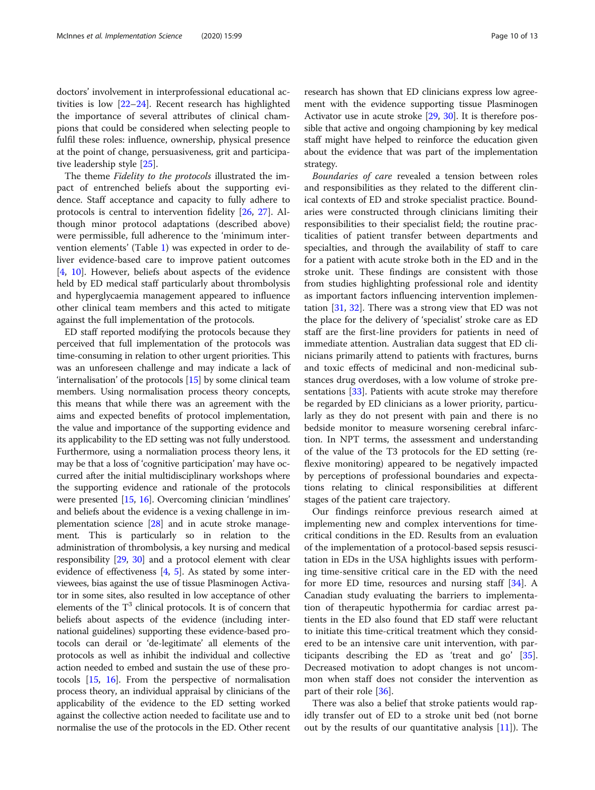doctors' involvement in interprofessional educational activities is low [[22](#page-12-0)–[24](#page-12-0)]. Recent research has highlighted the importance of several attributes of clinical champions that could be considered when selecting people to fulfil these roles: influence, ownership, physical presence at the point of change, persuasiveness, grit and participative leadership style [\[25\]](#page-12-0).

The theme *Fidelity to the protocols* illustrated the impact of entrenched beliefs about the supporting evidence. Staff acceptance and capacity to fully adhere to protocols is central to intervention fidelity [\[26](#page-12-0), [27](#page-12-0)]. Although minor protocol adaptations (described above) were permissible, full adherence to the 'minimum intervention elements' (Table [1\)](#page-2-0) was expected in order to deliver evidence-based care to improve patient outcomes [[4,](#page-11-0) [10](#page-11-0)]. However, beliefs about aspects of the evidence held by ED medical staff particularly about thrombolysis and hyperglycaemia management appeared to influence other clinical team members and this acted to mitigate against the full implementation of the protocols.

ED staff reported modifying the protocols because they perceived that full implementation of the protocols was time-consuming in relation to other urgent priorities. This was an unforeseen challenge and may indicate a lack of 'internalisation' of the protocols [[15\]](#page-12-0) by some clinical team members. Using normalisation process theory concepts, this means that while there was an agreement with the aims and expected benefits of protocol implementation, the value and importance of the supporting evidence and its applicability to the ED setting was not fully understood. Furthermore, using a normaliation process theory lens, it may be that a loss of 'cognitive participation' may have occurred after the initial multidisciplinary workshops where the supporting evidence and rationale of the protocols were presented [\[15,](#page-12-0) [16](#page-12-0)]. Overcoming clinician 'mindlines' and beliefs about the evidence is a vexing challenge in implementation science [\[28\]](#page-12-0) and in acute stroke management. This is particularly so in relation to the administration of thrombolysis, a key nursing and medical responsibility [[29](#page-12-0), [30](#page-12-0)] and a protocol element with clear evidence of effectiveness [[4](#page-11-0), [5](#page-11-0)]. As stated by some interviewees, bias against the use of tissue Plasminogen Activator in some sites, also resulted in low acceptance of other elements of the  $T^3$  clinical protocols. It is of concern that beliefs about aspects of the evidence (including international guidelines) supporting these evidence-based protocols can derail or 'de-legitimate' all elements of the protocols as well as inhibit the individual and collective action needed to embed and sustain the use of these protocols [[15,](#page-12-0) [16\]](#page-12-0). From the perspective of normalisation process theory, an individual appraisal by clinicians of the applicability of the evidence to the ED setting worked against the collective action needed to facilitate use and to normalise the use of the protocols in the ED. Other recent

research has shown that ED clinicians express low agreement with the evidence supporting tissue Plasminogen Activator use in acute stroke [[29,](#page-12-0) [30\]](#page-12-0). It is therefore possible that active and ongoing championing by key medical staff might have helped to reinforce the education given about the evidence that was part of the implementation strategy.

Boundaries of care revealed a tension between roles and responsibilities as they related to the different clinical contexts of ED and stroke specialist practice. Boundaries were constructed through clinicians limiting their responsibilities to their specialist field; the routine practicalities of patient transfer between departments and specialties, and through the availability of staff to care for a patient with acute stroke both in the ED and in the stroke unit. These findings are consistent with those from studies highlighting professional role and identity as important factors influencing intervention implementation [[31,](#page-12-0) [32\]](#page-12-0). There was a strong view that ED was not the place for the delivery of 'specialist' stroke care as ED staff are the first-line providers for patients in need of immediate attention. Australian data suggest that ED clinicians primarily attend to patients with fractures, burns and toxic effects of medicinal and non-medicinal substances drug overdoses, with a low volume of stroke pre-sentations [\[33](#page-12-0)]. Patients with acute stroke may therefore be regarded by ED clinicians as a lower priority, particularly as they do not present with pain and there is no bedside monitor to measure worsening cerebral infarction. In NPT terms, the assessment and understanding of the value of the T3 protocols for the ED setting (reflexive monitoring) appeared to be negatively impacted by perceptions of professional boundaries and expectations relating to clinical responsibilities at different stages of the patient care trajectory.

Our findings reinforce previous research aimed at implementing new and complex interventions for timecritical conditions in the ED. Results from an evaluation of the implementation of a protocol-based sepsis resuscitation in EDs in the USA highlights issues with performing time-sensitive critical care in the ED with the need for more ED time, resources and nursing staff [[34\]](#page-12-0). A Canadian study evaluating the barriers to implementation of therapeutic hypothermia for cardiac arrest patients in the ED also found that ED staff were reluctant to initiate this time-critical treatment which they considered to be an intensive care unit intervention, with participants describing the ED as 'treat and go' [\[35](#page-12-0)]. Decreased motivation to adopt changes is not uncommon when staff does not consider the intervention as part of their role [[36\]](#page-12-0).

There was also a belief that stroke patients would rapidly transfer out of ED to a stroke unit bed (not borne out by the results of our quantitative analysis [\[11](#page-11-0)]). The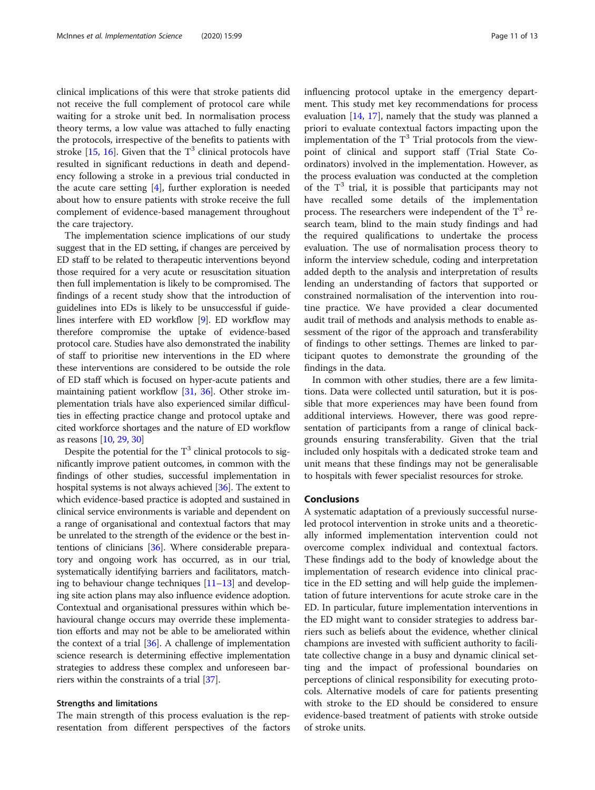clinical implications of this were that stroke patients did not receive the full complement of protocol care while waiting for a stroke unit bed. In normalisation process theory terms, a low value was attached to fully enacting the protocols, irrespective of the benefits to patients with stroke [\[15](#page-12-0), [16](#page-12-0)]. Given that the  $T^3$  clinical protocols have resulted in significant reductions in death and dependency following a stroke in a previous trial conducted in the acute care setting [\[4](#page-11-0)], further exploration is needed about how to ensure patients with stroke receive the full complement of evidence-based management throughout the care trajectory.

The implementation science implications of our study suggest that in the ED setting, if changes are perceived by ED staff to be related to therapeutic interventions beyond those required for a very acute or resuscitation situation then full implementation is likely to be compromised. The findings of a recent study show that the introduction of guidelines into EDs is likely to be unsuccessful if guidelines interfere with ED workflow [\[9\]](#page-11-0). ED workflow may therefore compromise the uptake of evidence-based protocol care. Studies have also demonstrated the inability of staff to prioritise new interventions in the ED where these interventions are considered to be outside the role of ED staff which is focused on hyper-acute patients and maintaining patient workflow [\[31,](#page-12-0) [36\]](#page-12-0). Other stroke implementation trials have also experienced similar difficulties in effecting practice change and protocol uptake and cited workforce shortages and the nature of ED workflow as reasons [\[10,](#page-11-0) [29,](#page-12-0) [30](#page-12-0)]

Despite the potential for the  $T^3$  clinical protocols to significantly improve patient outcomes, in common with the findings of other studies, successful implementation in hospital systems is not always achieved [\[36](#page-12-0)]. The extent to which evidence-based practice is adopted and sustained in clinical service environments is variable and dependent on a range of organisational and contextual factors that may be unrelated to the strength of the evidence or the best intentions of clinicians [[36](#page-12-0)]. Where considerable preparatory and ongoing work has occurred, as in our trial, systematically identifying barriers and facilitators, matching to behaviour change techniques [[11](#page-11-0)–[13\]](#page-11-0) and developing site action plans may also influence evidence adoption. Contextual and organisational pressures within which behavioural change occurs may override these implementation efforts and may not be able to be ameliorated within the context of a trial [[36\]](#page-12-0). A challenge of implementation science research is determining effective implementation strategies to address these complex and unforeseen barriers within the constraints of a trial [[37](#page-12-0)].

#### Strengths and limitations

The main strength of this process evaluation is the representation from different perspectives of the factors influencing protocol uptake in the emergency department. This study met key recommendations for process evaluation [\[14,](#page-12-0) [17](#page-12-0)], namely that the study was planned a priori to evaluate contextual factors impacting upon the implementation of the  $T<sup>3</sup>$  Trial protocols from the viewpoint of clinical and support staff (Trial State Coordinators) involved in the implementation. However, as the process evaluation was conducted at the completion of the  $T^3$  trial, it is possible that participants may not have recalled some details of the implementation process. The researchers were independent of the  $T^3$  research team, blind to the main study findings and had the required qualifications to undertake the process evaluation. The use of normalisation process theory to inform the interview schedule, coding and interpretation added depth to the analysis and interpretation of results lending an understanding of factors that supported or constrained normalisation of the intervention into routine practice. We have provided a clear documented audit trail of methods and analysis methods to enable assessment of the rigor of the approach and transferability of findings to other settings. Themes are linked to participant quotes to demonstrate the grounding of the findings in the data.

In common with other studies, there are a few limitations. Data were collected until saturation, but it is possible that more experiences may have been found from additional interviews. However, there was good representation of participants from a range of clinical backgrounds ensuring transferability. Given that the trial included only hospitals with a dedicated stroke team and unit means that these findings may not be generalisable to hospitals with fewer specialist resources for stroke.

#### Conclusions

A systematic adaptation of a previously successful nurseled protocol intervention in stroke units and a theoretically informed implementation intervention could not overcome complex individual and contextual factors. These findings add to the body of knowledge about the implementation of research evidence into clinical practice in the ED setting and will help guide the implementation of future interventions for acute stroke care in the ED. In particular, future implementation interventions in the ED might want to consider strategies to address barriers such as beliefs about the evidence, whether clinical champions are invested with sufficient authority to facilitate collective change in a busy and dynamic clinical setting and the impact of professional boundaries on perceptions of clinical responsibility for executing protocols. Alternative models of care for patients presenting with stroke to the ED should be considered to ensure evidence-based treatment of patients with stroke outside of stroke units.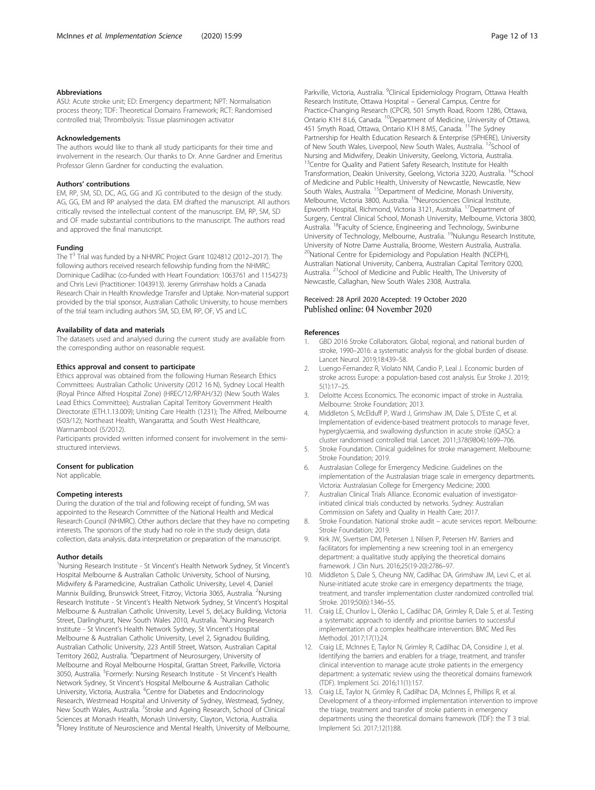#### <span id="page-11-0"></span>Abbreviations

ASU: Acute stroke unit; ED: Emergency department; NPT: Normalisation process theory; TDF: Theoretical Domains Framework; RCT: Randomised controlled trial; Thrombolysis: Tissue plasminogen activator

#### Acknowledgements

The authors would like to thank all study participants for their time and involvement in the research. Our thanks to Dr. Anne Gardner and Emeritus Professor Glenn Gardner for conducting the evaluation.

#### Authors' contributions

EM, RP, SM, SD, DC, AG, GG and JG contributed to the design of the study. AG, GG, EM and RP analysed the data. EM drafted the manuscript. All authors critically revised the intellectual content of the manuscript. EM, RP, SM, SD and OF made substantial contributions to the manuscript. The authors read and approved the final manuscript.

#### Funding

The T<sup>3</sup> Trial was funded by a NHMRC Project Grant 1024812 (2012–2017). The following authors received research fellowship funding from the NHMRC: Dominique Cadilhac (co-funded with Heart Foundation: 1063761 and 1154273) and Chris Levi (Practitioner: 1043913). Jeremy Grimshaw holds a Canada Research Chair in Health Knowledge Transfer and Uptake. Non-material support provided by the trial sponsor, Australian Catholic University, to house members of the trial team including authors SM, SD, EM, RP, OF, VS and LC.

#### Availability of data and materials

The datasets used and analysed during the current study are available from the corresponding author on reasonable request.

#### Ethics approval and consent to participate

Ethics approval was obtained from the following Human Research Ethics Committees: Australian Catholic University (2012 16 N), Sydney Local Health (Royal Prince Alfred Hospital Zone) (HREC/12/RPAH/32) (New South Wales Lead Ethics Committee); Australian Capital Territory Government Health Directorate (ETH.1.13.009); Uniting Care Health (1231); The Alfred, Melbourne (503/12); Northeast Health, Wangaratta; and South West Healthcare, Warrnambool (5/2012).

Participants provided written informed consent for involvement in the semistructured interviews.

#### Consent for publication

Not applicable.

#### Competing interests

During the duration of the trial and following receipt of funding, SM was appointed to the Research Committee of the National Health and Medical Research Council (NHMRC). Other authors declare that they have no competing interests. The sponsors of the study had no role in the study design, data collection, data analysis, data interpretation or preparation of the manuscript.

#### Author details

<sup>1</sup>Nursing Research Institute - St Vincent's Health Network Sydney, St Vincent's Hospital Melbourne & Australian Catholic University, School of Nursing, Midwifery & Paramedicine, Australian Catholic University, Level 4, Daniel Mannix Building, Brunswick Street, Fitzroy, Victoria 3065, Australia. <sup>2</sup>Nursing Research Institute - St Vincent's Health Network Sydney, St Vincent's Hospital Melbourne & Australian Catholic University, Level 5, deLacy Building, Victoria Street, Darlinghurst, New South Wales 2010, Australia. <sup>3</sup>Nursing Research Institute - St Vincent's Health Network Sydney, St Vincent's Hospital Melbourne & Australian Catholic University, Level 2, Signadou Building, Australian Catholic University, 223 Antill Street, Watson, Australian Capital Territory 2602, Australia. <sup>4</sup>Department of Neurosurgery, University of Melbourne and Royal Melbourne Hospital, Grattan Street, Parkville, Victoria 3050, Australia. <sup>5</sup>Formerly: Nursing Research Institute - St Vincent's Health Network Sydney, St Vincent's Hospital Melbourne & Australian Catholic University, Victoria, Australia. <sup>6</sup>Centre for Diabetes and Endocrinology Research, Westmead Hospital and University of Sydney, Westmead, Sydney, New South Wales, Australia. <sup>7</sup> Stroke and Ageing Research, School of Clinical Sciences at Monash Health, Monash University, Clayton, Victoria, Australia. <sup>8</sup> Florey Institute of Neuroscience and Mental Health, University of Melbourne,

Parkville, Victoria, Australia. <sup>9</sup>Clinical Epidemiology Program, Ottawa Health Research Institute, Ottawa Hospital – General Campus, Centre for Practice-Changing Research (CPCR), 501 Smyth Road, Room 1286, Ottawa, Ontario K1H 8 L6, Canada. <sup>10</sup>Department of Medicine, University of Ottawa, 451 Smyth Road, Ottawa, Ontario K1H 8 M5, Canada. <sup>11</sup>The Sydney Partnership for Health Education Research & Enterprise (SPHERE), University of New South Wales, Liverpool, New South Wales, Australia. <sup>12</sup>School of Nursing and Midwifery, Deakin University, Geelong, Victoria, Australia. <sup>13</sup>Centre for Quality and Patient Safety Research, Institute for Health Transformation, Deakin University, Geelong, Victoria 3220, Australia. <sup>14</sup>School of Medicine and Public Health, University of Newcastle, Newcastle, New South Wales, Australia. 15Department of Medicine, Monash University, Melbourne, Victoria 3800, Australia. <sup>16</sup>Neurosciences Clinical Institute, Epworth Hospital, Richmond, Victoria 3121, Australia. 17Department of Surgery, Central Clinical School, Monash University, Melbourne, Victoria 3800, Australia. 18Faculty of Science, Engineering and Technology, Swinburne University of Technology, Melbourne, Australia. 19Nulungu Research Institute, University of Notre Dame Australia, Broome, Western Australia, Australia. <sup>20</sup>National Centre for Epidemiology and Population Health (NCEPH), Australian National University, Canberra, Australian Capital Territory 0200, Australia. <sup>21</sup>School of Medicine and Public Health, The University of Newcastle, Callaghan, New South Wales 2308, Australia.

#### Received: 28 April 2020 Accepted: 19 October 2020 Published online: 04 November 2020

#### References

- 1. GBD 2016 Stroke Collaborators. Global, regional, and national burden of stroke, 1990–2016: a systematic analysis for the global burden of disease. Lancet Neurol. 2019;18:439–58.
- Luengo-Fernandez R, Violato NM, Candio P, Leal J. Economic burden of stroke across Europe: a population-based cost analysis. Eur Stroke J. 2019; 5(1):17–25.
- 3. Deloitte Access Economics. The economic impact of stroke in Australia. Melbourne: Stroke Foundation; 2013.
- 4. Middleton S, McElduff P, Ward J, Grimshaw JM, Dale S, D'Este C, et al. Implementation of evidence-based treatment protocols to manage fever, hyperglycaemia, and swallowing dysfunction in acute stroke (QASC): a cluster randomised controlled trial. Lancet. 2011;378(9804):1699–706.
- 5. Stroke Foundation. Clinical guidelines for stroke management. Melbourne: Stroke Foundation; 2019.
- 6. Australasian College for Emergency Medicine. Guidelines on the implementation of the Australasian triage scale in emergency departments. Victoria: Australasian College for Emergency Medicine; 2000.
- 7. Australian Clinical Trials Alliance. Economic evaluation of investigatorinitiated clinical trials conducted by networks. Sydney: Australian Commission on Safety and Quality in Health Care; 2017.
- Stroke Foundation. National stroke audit acute services report. Melbourne: Stroke Foundation; 2019.
- 9. Kirk JW, Sivertsen DM, Petersen J, Nilsen P, Petersen HV. Barriers and facilitators for implementing a new screening tool in an emergency department: a qualitative study applying the theoretical domains framework. J Clin Nurs. 2016;25(19-20):2786–97.
- 10. Middleton S, Dale S, Cheung NW, Cadilhac DA, Grimshaw JM, Levi C, et al. Nurse-initiated acute stroke care in emergency departments: the triage, treatment, and transfer implementation cluster randomized controlled trial. Stroke. 2019;50(6):1346–55.
- 11. Craig LE, Churilov L, Olenko L, Cadilhac DA, Grimley R, Dale S, et al. Testing a systematic approach to identify and prioritise barriers to successful implementation of a complex healthcare intervention. BMC Med Res Methodol. 2017;17(1):24.
- 12. Craig LE, McInnes E, Taylor N, Grimley R, Cadilhac DA, Considine J, et al. Identifying the barriers and enablers for a triage, treatment, and transfer clinical intervention to manage acute stroke patients in the emergency department: a systematic review using the theoretical domains framework (TDF). Implement Sci. 2016;11(1):157.
- 13. Craig LE, Taylor N, Grimley R, Cadilhac DA, McInnes E, Phillips R, et al. Development of a theory-informed implementation intervention to improve the triage, treatment and transfer of stroke patients in emergency departments using the theoretical domains framework (TDF): the T 3 trial. Implement Sci. 2017;12(1):88.